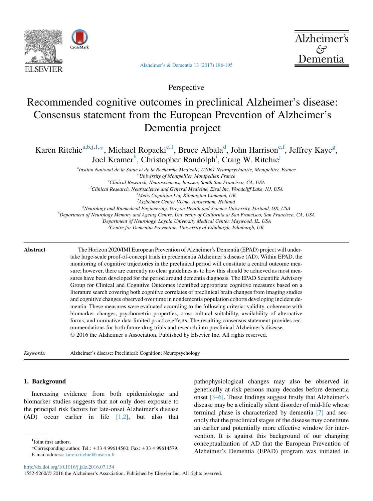

[Alzheimer's & Dementia 13 \(2017\) 186-195](http://dx.doi.org/10.1016/j.jalz.2016.07.154)



Perspective

# Recommended cognitive outcomes in preclinical Alzheimer's disease: Consensus statement from the European Prevention of Alzheimer's Dementia project

Karen Ritchie<sup>a,b,j,1,\*</sup>, Michael Ropacki<sup>c,1</sup>, Bruce Albala<sup>d</sup>, John Harrison<sup>e,f</sup>, Jeffrey Kaye<sup>g</sup>, Joel Kramer<sup>h</sup>, Christopher Randolph<sup>i</sup>, Craig W. Ritchie<sup>j</sup>

> <sup>a</sup>Institut National de la Sante et de la Recherche Medicale, U1061 Neuropsychiatrie, Montpellier, France<br><sup>b</sup>University of Montpellier, Montpellier, France University of Montpellier, Montpellier, France

<sup>c</sup>Clinical Research, Neurosciences, Janssen, South San Francisco, CA, USA<sup>d</sup>Clinical Research Neuroscience and General Medicine. Fisci Inc. Woodslift Lake

<sup>d</sup>Clinical Research, Neuroscience and General Medicine, Eisai Inc, Woodcliff Lake, NJ, USA

 $e^e$ Metis Cognition Ltd, Kilmington Common, UK

<sup>f</sup>Alzheimer Center VUmc, Amsterdam, Holland <sup>J</sup>Alzheimer Center VUmc, Amsterdam, Holland<br><sup>8</sup>Nauwleau and Biomadiael Engineering, Organy Health and Science Un

<sup>8</sup>Neurology and Biomedical Engineering, Oregon Health and Science University, Portand, OR, USA<br><sup>h</sup>Department of Neurology Mamory and Agging Centre, University of California at San Francisco, San Francisco

<sup>h</sup>Department of Neurology Memory and Ageing Centre, University of California at San Francisco, San Francisco, CA, USA <sup>i</sup>Department of Neurology, Loyola University Medical Center, Maywood, IL, USA

<sub>.</sub><br>Centre for Dementia Prevention, University of Edinburgh, Edinburgh, UK

Abstract The Horizon 2020/IMI European Prevention of Alzheimer's Dementia (EPAD) project will undertake large-scale proof-of-concept trials in predementia Alzheimer's disease (AD). Within EPAD, the monitoring of cognitive trajectories in the preclinical period will constitute a central outcome measure; however, there are currently no clear guidelines as to how this should be achieved as most measures have been developed for the period around dementia diagnosis. The EPAD Scientific Advisory Group for Clinical and Cognitive Outcomes identified appropriate cognitive measures based on a literature search covering both cognitive correlates of preclinical brain changes from imaging studies and cognitive changes observed over time in nondementia population cohorts developing incident dementia. These measures were evaluated according to the following criteria: validity, coherence with biomarker changes, psychometric properties, cross-cultural suitability, availability of alternative forms, and normative data limited practice effects. The resulting consensus statement provides recommendations for both future drug trials and research into preclinical Alzheimer's disease. 2016 the Alzheimer's Association. Published by Elsevier Inc. All rights reserved.

Keywords: Alzheimer's disease; Preclinical; Cognition; Neuropsychology

## 1. Background

Increasing evidence from both epidemiologic and biomarker studies suggests that not only does exposure to the principal risk factors for late-onset Alzheimer's disease (AD) occur earlier in life [\[1,2\]](#page-8-0), but also that pathophysiological changes may also be observed in genetically at-risk persons many decades before dementia onset [\[3–6\].](#page-8-0) These findings suggest firstly that Alzheimer's disease may be a clinically silent disorder of mid-life whose terminal phase is characterized by dementia [\[7\]](#page-8-0) and secondly that the preclinical stages of the disease may constitute an earlier and potentially more effective window for intervention. It is against this background of our changing conceptualization of AD that the European Prevention of Alzheimer's Dementia (EPAD) program was initiated in

<sup>1</sup>Joint first authors.

<sup>\*</sup>Corresponding author. Tel.: 133 4 99614560; Fax: 133 4 99614579. E-mail address: [karen.ritchie@inserm.fr](mailto:karen.ritchie@inserm.fr)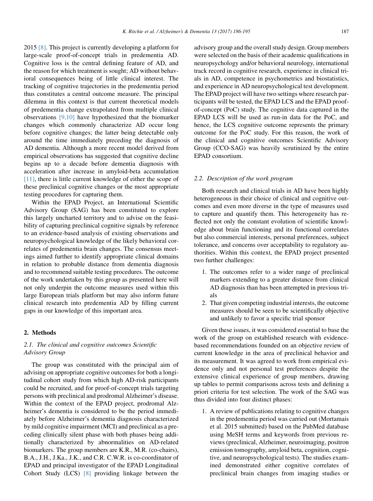2015 [\[8\].](#page-8-0) This project is currently developing a platform for large-scale proof-of-concept trials in predementia AD. Cognitive loss is the central defining feature of AD, and the reason for which treatment is sought; AD without behavioral consequences being of little clinical interest. The tracking of cognitive trajectories in the predementia period thus constitutes a central outcome measure. The principal dilemma in this context is that current theoretical models of predementia change extrapolated from multiple clinical observations [\[9,10\]](#page-8-0) have hypothesized that the biomarker changes which commonly characterize AD occur long before cognitive changes; the latter being detectable only around the time immediately preceding the diagnosis of AD dementia. Although a more recent model derived from empirical observations has suggested that cognitive decline begins up to a decade before dementia diagnosis with acceleration after increase in amyloid-beta accumulation [\[11\],](#page-8-0) there is little current knowledge of either the scope of these preclinical cognitive changes or the most appropriate testing procedures for capturing them.

Within the EPAD Project, an International Scientific Advisory Group (SAG) has been constituted to explore this largely uncharted territory and to advise on the feasibility of capturing preclinical cognitive signals by reference to an evidence-based analysis of existing observations and neuropsychological knowledge of the likely behavioral correlates of predementia brain changes. The consensus meetings aimed further to identify appropriate clinical domains in relation to probable distance from dementia diagnosis and to recommend suitable testing procedures. The outcome of the work undertaken by this group as presented here will not only underpin the outcome measures used within this large European trials platform but may also inform future clinical research into predementia AD by filling current gaps in our knowledge of this important area.

#### 2. Methods

# 2.1. The clinical and cognitive outcomes Scientific Advisory Group

The group was constituted with the principal aim of advising on appropriate cognitive outcomes for both a longitudinal cohort study from which high AD-risk participants could be recruited, and for proof-of-concept trials targeting persons with preclinical and prodromal Alzheimer's disease. Within the context of the EPAD project, prodromal Alzheimer's dementia is considered to be the period immediately before Alzheimer's dementia diagnosis characterized by mild cognitive impairment (MCI) and preclinical as a preceding clinically silent phase with both phases being additionally characterized by abnormalities on AD-related biomarkers. The group members are K.R., M.R. (co-chairs), B.A., J.H., J.Ka., J.K., and C.R. C.W.R. is co-coordinator of EPAD and principal investigator of the EPAD Longitudinal Cohort Study (LCS) [\[8\]](#page-8-0) providing linkage between the

advisory group and the overall study design. Group members were selected on the basis of their academic qualifications in neuropsychology and/or behavioral neurology, international track record in cognitive research, experience in clinical trials in AD, competence in psychometrics and biostatistics, and experience in AD neuropsychological test development. The EPAD project will have two settings where research participants will be tested, the EPAD LCS and the EPAD proofof-concept (PoC) study. The cognitive data captured in the EPAD LCS will be used as run-in data for the PoC, and hence, the LCS cognitive outcome represents the primary outcome for the PoC study. For this reason, the work of the clinical and cognitive outcomes Scientific Advisory Group (CCO-SAG) was heavily scrutinized by the entire EPAD consortium.

#### 2.2. Description of the work program

Both research and clinical trials in AD have been highly heterogeneous in their choice of clinical and cognitive outcomes and even more diverse in the type of measures used to capture and quantify them. This heterogeneity has reflected not only the constant evolution of scientific knowledge about brain functioning and its functional correlates but also commercial interests, personal preferences, subject tolerance, and concerns over acceptability to regulatory authorities. Within this context, the EPAD project presented two further challenges:

- 1. The outcomes refer to a wider range of preclinical markers extending to a greater distance from clinical AD diagnosis than has been attempted in previous trials
- 2. That given competing industrial interests, the outcome measures should be seen to be scientifically objective and unlikely to favor a specific trial sponsor

Given these issues, it was considered essential to base the work of the group on established research with evidencebased recommendations founded on an objective review of current knowledge in the area of preclinical behavior and its measurement. It was agreed to work from empirical evidence only and not personal test preferences despite the extensive clinical experience of group members, drawing up tables to permit comparisons across tests and defining a priori criteria for test selection. The work of the SAG was thus divided into four distinct phases:

1. A review of publications relating to cognitive changes in the predementia period was carried out (Mortamais et al. 2015 submitted) based on the PubMed database using MeSH terms and keywords from previous reviews (preclinical, Alzheimer, neuroimaging, positron emission tomography, amyloid beta, cognition, cognitive, and neuropsychological tests). The studies examined demonstrated either cognitive correlates of preclinical brain changes from imaging studies or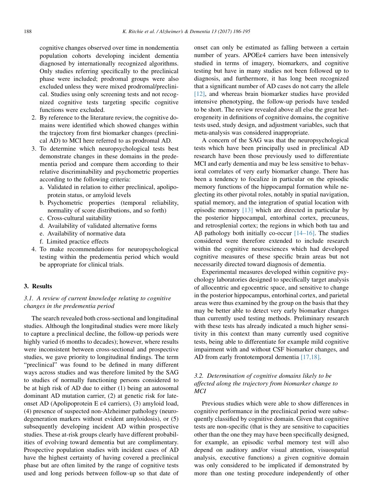cognitive changes observed over time in nondementia population cohorts developing incident dementia diagnosed by internationally recognized algorithms. Only studies referring specifically to the preclinical phase were included; prodromal groups were also excluded unless they were mixed prodromal/preclinical. Studies using only screening tests and not recognized cognitive tests targeting specific cognitive functions were excluded.

- 2. By reference to the literature review, the cognitive domains were identified which showed changes within the trajectory from first biomarker changes (preclinical AD) to MCI here referred to as prodromal AD.
- 3. To determine which neuropsychological tests best demonstrate changes in these domains in the predementia period and compare them according to their relative discriminability and psychometric properties according to the following criteria:
	- a. Validated in relation to either preclinical, apolipoprotein status, or amyloid levels
	- b. Psychometric properties (temporal reliability, normality of score distributions, and so forth)
	- c. Cross-cultural suitability
	- d. Availability of validated alternative forms
	- e. Availability of normative data
	- f. Limited practice effects
- 4. To make recommendations for neuropsychological testing within the predementia period which would be appropriate for clinical trials.

#### 3. Results

# 3.1. A review of current knowledge relating to cognitive changes in the predementia period

The search revealed both cross-sectional and longitudinal studies. Although the longitudinal studies were more likely to capture a preclinical decline, the follow-up periods were highly varied (6 months to decades); however, where results were inconsistent between cross-sectional and prospective studies, we gave priority to longitudinal findings. The term "preclinical" was found to be defined in many different ways across studies and was therefore limited by the SAG to studies of normally functioning persons considered to be at high risk of AD due to either (1) being an autosomal dominant AD mutation carrier, (2) at genetic risk for lateonset AD (Apolipoprotein E ε4 carriers), (3) amyloid load, (4) presence of suspected non-Alzheimer pathology (neurodegeneration markers without evident amyloidosis), or (5) subsequently developing incident AD within prospective studies. These at-risk groups clearly have different probabilities of evolving toward dementia but are complimentary. Prospective population studies with incident cases of AD have the highest certainty of having covered a preclinical phase but are often limited by the range of cognitive tests used and long periods between follow-up so that date of onset can only be estimated as falling between a certain number of years. APOEε4 carriers have been intensively studied in terms of imagery, biomarkers, and cognitive testing but have in many studies not been followed up to diagnosis, and furthermore, it has long been recognized that a significant number of AD cases do not carry the allele [\[12\],](#page-8-0) and whereas brain biomarker studies have provided intensive phenotyping, the follow-up periods have tended to be short. The review revealed above all else the great heterogeneity in definitions of cognitive domains, the cognitive tests used, study design, and adjustment variables, such that meta-analysis was considered inappropriate.

A concern of the SAG was that the neuropsychological tests which have been principally used in preclinical AD research have been those previously used to differentiate MCI and early dementia and may be less sensitive to behavioral correlates of very early biomarker change. There has been a tendency to focalize in particular on the episodic memory functions of the hippocampal formation while neglecting its other pivotal roles, notably in spatial navigation, spatial memory, and the integration of spatial location with episodic memory [\[13\]](#page-8-0) which are directed in particular by the posterior hippocampal, entorhinal cortex, precuneus, and retrosplenial cortex; the regions in which both tau and A $\beta$  pathology both initially co-occur [\[14–16\]](#page-8-0). The studies considered were therefore extended to include research within the cognitive neurosciences which had developed cognitive measures of these specific brain areas but not necessarily directed toward diagnosis of dementia.

Experimental measures developed within cognitive psychology laboratories designed to specifically target analysis of allocentric and egocentric space, and sensitive to change in the posterior hippocampus, entorhinal cortex, and parietal areas were thus examined by the group on the basis that they may be better able to detect very early biomarker changes than currently used testing methods. Preliminary research with these tests has already indicated a much higher sensitivity in this context than many currently used cognitive tests, being able to differentiate for example mild cognitive impairment with and without CSF biomarker changes, and AD from early frontotemporal dementia [\[17,18\].](#page-8-0)

# 3.2. Determination of cognitive domains likely to be affected along the trajectory from biomarker change to MCI

Previous studies which were able to show differences in cognitive performance in the preclinical period were subsequently classified by cognitive domain. Given that cognitive tests are non-specific (that is they are sensitive to capacities other than the one they may have been specifically designed, for example, an episodic verbal memory test will also depend on auditory and/or visual attention, visuospatial analysis, executive functions) a given cognitive domain was only considered to be implicated if demonstrated by more than one testing procedure independently of other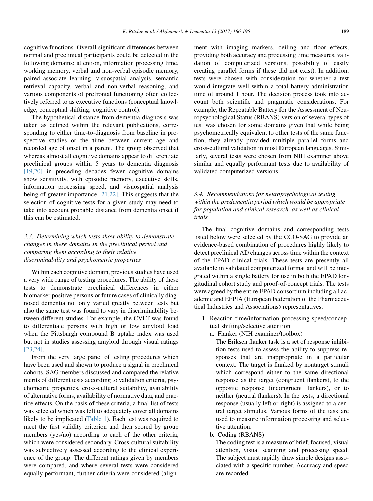cognitive functions. Overall significant differences between normal and preclinical participants could be detected in the following domains: attention, information processing time, working memory, verbal and non-verbal episodic memory, paired associate learning, visuospatial analysis, semantic retrieval capacity, verbal and non-verbal reasoning, and various components of prefrontal functioning often collectively referred to as executive functions (conceptual knowledge, conceptual shifting, cognitive control).

The hypothetical distance from dementia diagnosis was taken as defined within the relevant publications, corresponding to either time-to-diagnosis from baseline in prospective studies or the time between current age and recorded age of onset in a parent. The group observed that whereas almost all cognitive domains appear to differentiate preclinical groups within 5 years to dementia diagnosis [\[19,20\]](#page-8-0) in preceding decades fewer cognitive domains show sensitivity, with episodic memory, executive skills, information processing speed, and visuospatial analysis being of greater importance [\[21,22\]](#page-8-0). This suggests that the selection of cognitive tests for a given study may need to take into account probable distance from dementia onset if this can be estimated.

# 3.3. Determining which tests show ability to demonstrate changes in these domains in the preclinical period and comparing them according to their relative discriminability and psychometric properties

Within each cognitive domain, previous studies have used a very wide range of testing procedures. The ability of these tests to demonstrate preclinical differences in either biomarker positive persons or future cases of clinically diagnosed dementia not only varied greatly between tests but also the same test was found to vary in discriminability between different studies. For example, the CVLT was found to differentiate persons with high or low amyloid load when the Pittsburgh compound B uptake index was used but not in studies assessing amyloid through visual ratings [\[23,24\]](#page-8-0).

From the very large panel of testing procedures which have been used and shown to produce a signal in preclinical cohorts, SAG members discussed and compared the relative merits of different tests according to validation criteria, psychometric properties, cross-cultural suitability, availability of alternative forms, availability of normative data, and practice effects. On the basis of these criteria, a final list of tests was selected which was felt to adequately cover all domains likely to be implicated ([Table 1\)](#page-4-0). Each test was required to meet the first validity criterion and then scored by group members (yes/no) according to each of the other criteria, which were considered secondary. Cross-cultural suitability was subjectively assessed according to the clinical experience of the group. The different ratings given by members were compared, and where several tests were considered equally performant, further criteria were considered (alignment with imaging markers, ceiling and floor effects, providing both accuracy and processing time measures, validation of computerized versions, possibility of easily creating parallel forms if these did not exist). In addition, tests were chosen with consideration for whether a test would integrate well within a total battery administration time of around 1 hour. The decision process took into account both scientific and pragmatic considerations. For example, the Repeatable Battery for the Assessment of Neuropsychological Status (RBANS) version of several types of test was chosen for some domains given that while being psychometrically equivalent to other tests of the same function, they already provided multiple parallel forms and cross-cultural validation in most European languages. Similarly, several tests were chosen from NIH examiner above similar and equally performant tests due to availability of validated computerized versions.

# 3.4. Recommendations for neuropsychological testing within the predementia period which would be appropriate for population and clinical research, as well as clinical trials

The final cognitive domains and corresponding tests listed below were selected by the CCO-SAG to provide an evidence-based combination of procedures highly likely to detect preclinical AD changes across time within the context of the EPAD clinical trials. These tests are presently all available in validated computerized format and will be integrated within a single battery for use in both the EPAD longitudinal cohort study and proof-of-concept trials. The tests were agreed by the entire EPAD consortium including all academic and EFPIA (European Federation of the Pharmaceutical Industries and Associations) representatives.

- 1. Reaction time/information processing speed/conceptual shifting/selective attention
	- a. Flanker (NIH examiner/toolbox)

The Eriksen flanker task is a set of response inhibition tests used to assess the ability to suppress responses that are inappropriate in a particular context. The target is flanked by nontarget stimuli which correspond either to the same directional response as the target (congruent flankers), to the opposite response (incongruent flankers), or to neither (neutral flankers). In the tests, a directional response (usually left or right) is assigned to a central target stimulus. Various forms of the task are used to measure information processing and selective attention.

b. Coding (RBANS)

The coding test is a measure of brief, focused, visual attention, visual scanning and processing speed. The subject must rapidly draw simple designs associated with a specific number. Accuracy and speed are recorded.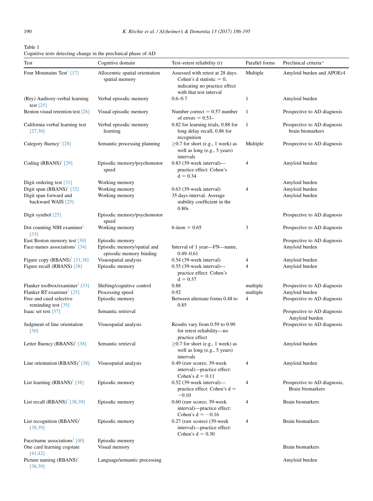<span id="page-4-0"></span>

| Table 1                                                         |
|-----------------------------------------------------------------|
| Cognitive tests detecting change in the preclinical phase of AD |

| Test                                                         | Cognitive domain                                       | Test-retest reliability (r)                                                                                                 | Parallel forms | Preclinical criteria*                            |
|--------------------------------------------------------------|--------------------------------------------------------|-----------------------------------------------------------------------------------------------------------------------------|----------------|--------------------------------------------------|
| Four Mountains Test <sup><math>\lceil 17 \rceil</math></sup> | Allocentric spatial orientation<br>spatial memory      | Assessed with retest at 28 days.<br>Cohen's d statistic $= 0$ ,<br>indicating no practice effect<br>with that test interval | Multiple       | Amyloid burden and APOE&4                        |
| (Rey) Auditory-verbal learning<br>test $[25]$                | Verbal episodic memory                                 | $0.6 - 0.7$                                                                                                                 | 1              | Amyloid burden                                   |
| Benton visual retention test [26]                            | Visual episodic memory                                 | Number correct $= 0.57$ number<br>of errors $= 0.53-$                                                                       | 1              | Prospective to AD diagnosis                      |
| California verbal learning test<br>[27, 30]                  | Verbal episodic memory<br>learning                     | 0.82 for learning trials, 0.88 for<br>long delay recall, 0.86 for<br>recognition                                            | 1              | Prospective to AD diagnosis<br>brain biomarkers  |
| Category fluency <sup>†</sup> [28]                           | Semantic processing planning                           | $\geq$ 0.7 for short (e.g., 1 week) as<br>well as long (e.g., 5 years)<br>intervals                                         | Multiple       | Prospective to AD diagnosis                      |
| Coding $(RBANS)^{\dagger}$ [29]                              | Episodic memory/psychomotor<br>speed                   | $0.83$ (39-week interval)—<br>practice effect: Cohen's<br>$d = 0.34$                                                        | 4              | Amyloid burden                                   |
| Digit ordering test [31]                                     | Working memory                                         |                                                                                                                             |                | Amyloid burden                                   |
| Digit span $(RBANS)^{\dagger}$ [32]                          | Working memory                                         | $0.63$ (39-week interval)                                                                                                   | 4              | Amyloid burden                                   |
| Digit span forward and<br>backward WAIS [25]                 | Working memory                                         | 35 days interval. Average<br>stability coefficient in the<br>0.80s                                                          |                | Amyloid burden                                   |
| Digit symbol [25]                                            | Episodic memory/psychomotor<br>speed                   |                                                                                                                             |                | Prospective to AD diagnosis                      |
| Dot counting NIH examiner <sup>†</sup><br>$\left[33\right]$  | Working memory                                         | 6-item $= 0.65$                                                                                                             | 3              | Prospective to AD diagnosis                      |
| East Boston memory test [30]                                 | Episodic memory                                        |                                                                                                                             |                | Prospective to AD diagnosis                      |
| Face-names associations <sup>†</sup> [34]                    | Episodic memory/spatial and<br>episodic memory binding | Interval of 1 year-FN-name,<br>$0.49 - 0.61$                                                                                |                | Amyloid burden                                   |
| Figure copy $(RBANS)^{\dagger}$ [31,38]                      | Visuospatial analysis                                  | 0.54 (39-week interval)                                                                                                     | 4              | Amyloid burden                                   |
| Figure recall (RBANS) [38]                                   | Episodic memory                                        | $0.55$ (39-week interval)—<br>practice effect: Cohen's<br>$d = 0.37$                                                        | $\overline{4}$ | Amyloid burden                                   |
| Flanker toolbox/examiner <sup>†</sup> [33]                   | Shifting/cognitive control                             | 0.88                                                                                                                        | multiple       | Prospective to AD diagnosis                      |
| Flanker RT examiner <sup>†</sup> [25]                        | Processing speed                                       | 0.92                                                                                                                        | multiple       | Amyloid burden                                   |
|                                                              |                                                        |                                                                                                                             |                |                                                  |
| Free and cued selective<br>reminding test [35]               | Episodic memory                                        | Between alternate forms 0.48 to<br>0.85                                                                                     | 4              | Prospective to AD diagnosis                      |
| Isaac set test [37]                                          | Semantic retrieval                                     |                                                                                                                             |                | Prospective to AD diagnosis<br>Amyloid burden    |
| Judgment of line orientation<br>[30]                         | Visuospatial analysis                                  | Results vary from 0.59 to 0.90<br>for retest reliability—no<br>practice effect                                              |                | Prospective to AD diagnosis                      |
| Letter fluency $(RBANS)^{\dagger}$ [38]                      | Semantic retrieval                                     | $\geq$ 0.7 for short (e.g., 1 week) as<br>well as long (e.g., 5 years)<br>intervals                                         |                | Amyloid burden                                   |
| Line orientation (RBANS) <sup>†</sup> [38]                   | Visuospatial analysis                                  | 0.49 (raw scores; 39-week<br>interval)—practice effect:<br>Cohen's $d = 0.11$                                               | 4              | Amyloid burden                                   |
| List learning $(RBANS)^{\dagger}$ [38]                       | Episodic memory                                        | $0.52$ (39-week interval)—<br>practice effect: Cohen's $d =$<br>$-0.10$                                                     | 4              | Prospective to AD diagnosis,<br>Brain biomarkers |
| List recall $(RBANS)^{\dagger}$ [38,39]                      | Episodic memory                                        | $0.60$ (raw scores; 39-week<br>interval)-practice effect:<br>Cohen's $d = -0.16$                                            | 4              | <b>Brain biomarkers</b>                          |
| List recognition $(RBANS)^{\dagger}$<br>[38, 39]             | Episodic memory                                        | $0.27$ (raw scores) (39-week<br>interval)—practice effect:<br>Cohen's $d = 0.30$                                            | 4              | Brain biomarkers                                 |
| Face/name associations <sup>†</sup> [40]                     | Episodic memory                                        |                                                                                                                             |                |                                                  |
| One card learning cogstate<br>[41, 42]                       | Visual memory                                          |                                                                                                                             |                | Brain biomarkers                                 |
| Picture naming $(RBANS)^{\dagger}$<br>[38, 39]               | Language/semantic processing                           |                                                                                                                             |                | Amyloid burden                                   |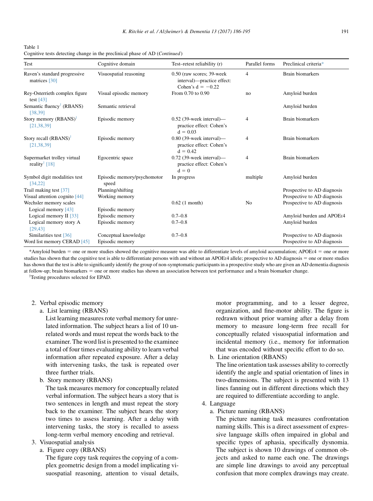Table 1 Cognitive tests detecting change in the preclinical phase of AD (Continued)

| Test                                                     | Cognitive domain                     | Test-retest reliability (r)                                                    | Parallel forms | Preclinical criteria*       |
|----------------------------------------------------------|--------------------------------------|--------------------------------------------------------------------------------|----------------|-----------------------------|
| Raven's standard progressive<br>matrices [30]            | Visuospatial reasoning               | 0.50 (raw scores; 39-week<br>interval)—practice effect:<br>Cohen's $d = -0.22$ | $\overline{4}$ | Brain biomarkers            |
| Rey-Osterrieth complex figure<br>test $[43]$             | Visual episodic memory               | From 0.70 to 0.90                                                              | no             | Amyloid burden              |
| Semantic fluency <sup>†</sup> (RBANS)<br>[38, 39]        | Semantic retrieval                   |                                                                                |                | Amyloid burden              |
| Story memory $(RBANS)^{\dagger}$<br>[21, 38, 39]         | Episodic memory                      | $0.52$ (39-week interval)—<br>practice effect: Cohen's<br>$d = 0.03$           | $\overline{4}$ | Brain biomarkers            |
| Story recall $(RBANS)^{\dagger}$<br>[21, 38, 39]         | Episodic memory                      | $0.80$ (39-week interval)—<br>practice effect: Cohen's<br>$d = 0.42$           | 4              | Brain biomarkers            |
| Supermarket trolley virtual<br>reality <sup>†</sup> [18] | Egocentric space                     | $0.72$ (39-week interval)—<br>practice effect: Cohen's<br>$d = 0$              | $\overline{4}$ | Brain biomarkers            |
| Symbol digit modalities test<br>[34, 22]                 | Episodic memory/psychomotor<br>speed | In progress                                                                    | multiple       | Amyloid burden              |
| Trail making test [37]                                   | Planning/shifting                    |                                                                                |                | Prospective to AD diagnosis |
| Visual attention cognito $[44]$                          | Working memory                       |                                                                                |                | Prospective to AD diagnosis |
| Wechsler memory scales                                   |                                      | $0.62$ (1 month)                                                               | N <sub>0</sub> | Prospective to AD diagnosis |
| Logical memory [43]                                      | Episodic memory                      |                                                                                |                |                             |
| Logical memory II [33]                                   | Episodic memory                      | $0.7 - 0.8$                                                                    |                | Amyloid burden and APOE&4   |
| Logical memory story A<br>[29, 43]                       | Episodic memory                      | $0.7 - 0.8$                                                                    |                | Amyloid burden              |
| Similarities test [36]                                   | Conceptual knowledge                 | $0.7 - 0.8$                                                                    |                | Prospective to AD diagnosis |
| Word list memory CERAD [45]                              | Episodic memory                      |                                                                                |                | Prospective to AD diagnosis |

\*Amyloid burden  $=$  one or more studies showed the cognitive measure was able to differentiate levels of amyloid accumulation; APOE  $4 =$  one or more studies has shown that the cognitive test is able to differentiate persons with and without an APOE 4 allele; prospective to AD diagnosis = one or more studies has shown that the test is able to significantly identify the group of non-symptomatic participants in a prospective study who are given an AD dementia diagnosis at follow-up; brain biomarkers = one or more studies has shown an association between test performance and a brain biomarker change.

<sup>†</sup>Testing procedures selected for EPAD.

- 2. Verbal episodic memory
	- a. List learning (RBANS)

List learning measures rote verbal memory for unrelated information. The subject hears a list of 10 unrelated words and must repeat the words back to the examiner. The word list is presented to the examinee a total of four times evaluating ability to learn verbal information after repeated exposure. After a delay with intervening tasks, the task is repeated over three further trials.

b. Story memory (RBANS)

The task measures memory for conceptually related verbal information. The subject hears a story that is two sentences in length and must repeat the story back to the examiner. The subject hears the story two times to assess learning. After a delay with intervening tasks, the story is recalled to assess long-term verbal memory encoding and retrieval.

## 3. Visuospatial analysis

a. Figure copy (RBANS)

The figure copy task requires the copying of a complex geometric design from a model implicating visuospatial reasoning, attention to visual details, motor programming, and to a lesser degree, organization, and fine-motor ability. The figure is redrawn without prior warning after a delay from memory to measure long-term free recall for conceptually related visuospatial information and incidental memory (i.e., memory for information that was encoded without specific effort to do so.

b. Line orientation (RBANS)

The line orientation task assesses ability to correctly identify the angle and spatial orientation of lines in two-dimensions. The subject is presented with 13 lines fanning out in different directions which they are required to differentiate according to angle.

- 4. Language
	- a. Picture naming (RBANS)

The picture naming task measures confrontation naming skills. This is a direct assessment of expressive language skills often impaired in global and specific types of aphasia, specifically dysnomia. The subject is shown 10 drawings of common objects and asked to name each one. The drawings are simple line drawings to avoid any perceptual confusion that more complex drawings may create.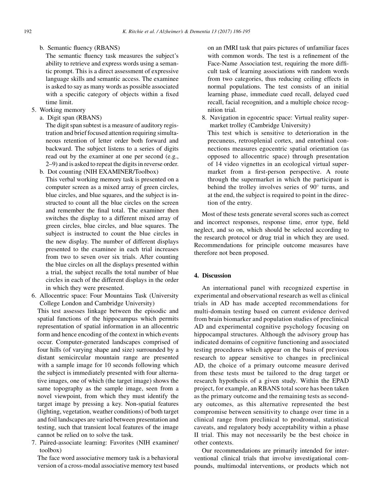b. Semantic fluency (RBANS)

The semantic fluency task measures the subject's ability to retrieve and express words using a semantic prompt. This is a direct assessment of expressive language skills and semantic access. The examinee is asked to say as many words as possible associated with a specific category of objects within a fixed time limit.

- 5. Working memory
	- a. Digit span (RBANS)

The digit span subtest is a measure of auditory registration and brief focused attention requiring simultaneous retention of letter order both forward and backward. The subject listens to a series of digits read out by the examiner at one per second (e.g., 2–9) and is asked to repeat the digits in reverse order. b. Dot counting (NIH EXAMINER/Toolbox)

This verbal working memory task is presented on a computer screen as a mixed array of green circles, blue circles, and blue squares, and the subject is instructed to count all the blue circles on the screen and remember the final total. The examiner then switches the display to a different mixed array of green circles, blue circles, and blue squares. The subject is instructed to count the blue circles in the new display. The number of different displays presented to the examinee in each trial increases from two to seven over six trials. After counting the blue circles on all the displays presented within a trial, the subject recalls the total number of blue circles in each of the different displays in the order in which they were presented.

6. Allocentric space: Four Mountains Task (University College London and Cambridge University)

This test assesses linkage between the episodic and spatial functions of the hippocampus which permits representation of spatial information in an allocentric form and hence encoding of the context in which events occur. Computer-generated landscapes comprised of four hills (of varying shape and size) surrounded by a distant semicircular mountain range are presented with a sample image for 10 seconds following which the subject is immediately presented with four alternative images, one of which (the target image) shows the same topography as the sample image, seen from a novel viewpoint, from which they must identify the target image by pressing a key. Non-spatial features (lighting, vegetation, weather conditions) of both target and foil landscapes are varied between presentation and testing, such that transient local features of the image cannot be relied on to solve the task.

7. Paired-associate learning: Favorites (NIH examiner/ toolbox)

The face word associative memory task is a behavioral version of a cross-modal associative memory test based on an fMRI task that pairs pictures of unfamiliar faces with common words. The test is a refinement of the Face-Name Association test, requiring the more difficult task of learning associations with random words from two categories, thus reducing ceiling effects in normal populations. The test consists of an initial learning phase, immediate cued recall, delayed cued recall, facial recognition, and a multiple choice recognition trial.

8. Navigation in egocentric space: Virtual reality supermarket trolley (Cambridge University)

This test which is sensitive to deterioration in the precuneus, retrosplenial cortex, and entorhinal connections measures egocentric spatial orientation (as opposed to allocentric space) through presentation of 14 video vignettes in an ecological virtual supermarket from a first-person perspective. A route through the supermarket in which the participant is behind the trolley involves series of  $90^\circ$  turns, and at the end, the subject is required to point in the direction of the entry.

Most of these tests generate several scores such as correct and incorrect responses, response time, error type, field neglect, and so on, which should be selected according to the research protocol or drug trial in which they are used. Recommendations for principle outcome measures have therefore not been proposed.

#### 4. Discussion

An international panel with recognized expertise in experimental and observational research as well as clinical trials in AD has made accepted recommendations for multi-domain testing based on current evidence derived from brain biomarker and population studies of preclinical AD and experimental cognitive psychology focusing on hippocampal structures. Although the advisory group has indicated domains of cognitive functioning and associated testing procedures which appear on the basis of previous research to appear sensitive to changes in preclinical AD, the choice of a primary outcome measure derived from these tests must be tailored to the drug target or research hypothesis of a given study. Within the EPAD project, for example, an RBANS total score has been taken as the primary outcome and the remaining tests as secondary outcomes, as this alternative represented the best compromise between sensitivity to change over time in a clinical range from preclinical to prodromal, statistical caveats, and regulatory body acceptability within a phase II trial. This may not necessarily be the best choice in other contexts.

Our recommendations are primarily intended for interventional clinical trials that involve investigational compounds, multimodal interventions, or products which not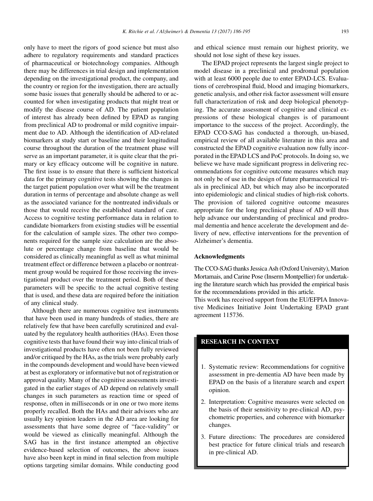only have to meet the rigors of good science but must also adhere to regulatory requirements and standard practices of pharmaceutical or biotechnology companies. Although there may be differences in trial design and implementation depending on the investigational product, the company, and the country or region for the investigation, there are actually some basic issues that generally should be adhered to or accounted for when investigating products that might treat or modify the disease course of AD. The patient population of interest has already been defined by EPAD as ranging from preclinical AD to prodromal or mild cognitive impairment due to AD. Although the identification of AD-related biomarkers at study start or baseline and their longitudinal course throughout the duration of the treatment phase will serve as an important parameter, it is quite clear that the primary or key efficacy outcome will be cognitive in nature. The first issue is to ensure that there is sufficient historical data for the primary cognitive tests showing the changes in the target patient population over what will be the treatment duration in terms of percentage and absolute change as well as the associated variance for the nontreated individuals or those that would receive the established standard of care. Access to cognitive testing performance data in relation to candidate biomarkers from existing studies will be essential for the calculation of sample sizes. The other two components required for the sample size calculation are the absolute or percentage change from baseline that would be considered as clinically meaningful as well as what minimal treatment effect or difference between a placebo or nontreatment group would be required for those receiving the investigational product over the treatment period. Both of these parameters will be specific to the actual cognitive testing that is used, and these data are required before the initiation of any clinical study.

Although there are numerous cognitive test instruments that have been used in many hundreds of studies, there are relatively few that have been carefully scrutinized and evaluated by the regulatory health authorities (HAs). Even those cognitive tests that have found their way into clinical trials of investigational products have often not been fully reviewed and/or critiqued by the HAs, as the trials were probably early in the compounds development and would have been viewed at best as exploratory or informative but not of registration or approval quality. Many of the cognitive assessments investigated in the earlier stages of AD depend on relatively small changes in such parameters as reaction time or speed of response, often in milliseconds or in one or two more items properly recalled. Both the HAs and their advisors who are usually key opinion leaders in the AD area are looking for assessments that have some degree of "face-validity" or would be viewed as clinically meaningful. Although the SAG has in the first instance attempted an objective evidence-based selection of outcomes, the above issues have also been kept in mind in final selection from multiple options targeting similar domains. While conducting good

and ethical science must remain our highest priority, we should not lose sight of these key issues.

The EPAD project represents the largest single project to model disease in a preclinical and prodromal population with at least 6000 people due to enter EPAD-LCS. Evaluations of cerebrospinal fluid, blood and imaging biomarkers, genetic analysis, and other risk factor assessment will ensure full characterization of risk and deep biological phenotyping. The accurate assessment of cognitive and clinical expressions of these biological changes is of paramount importance to the success of the project. Accordingly, the EPAD CCO-SAG has conducted a thorough, un-biased, empirical review of all available literature in this area and constructed the EPAD cognitive evaluation now fully incorporated in the EPAD LCS and PoC protocols. In doing so, we believe we have made significant progress in delivering recommendations for cognitive outcome measures which may not only be of use in the design of future pharmaceutical trials in preclinical AD, but which may also be incorporated into epidemiologic and clinical studies of high-risk cohorts. The provision of tailored cognitive outcome measures appropriate for the long preclinical phase of AD will thus help advance our understanding of preclinical and prodromal dementia and hence accelerate the development and delivery of new, effective interventions for the prevention of Alzheimer's dementia.

#### Acknowledgments

The CCO-SAG thanks Jessica Ash (Oxford University), Marion Mortamais, and Carine Pose (Inserm Montpellier) for undertaking the literature search which has provided the empirical basis for the recommendations provided in this article.

This work has received support from the EU/EFPIA Innovative Medicines Initiative Joint Undertaking EPAD grant agreement 115736.

# RESEARCH IN CONTEXT

- 1. Systematic review: Recommendations for cognitive assessment in pre-dementia AD have been made by EPAD on the basis of a literature search and expert opinion.
- 2. Interpretation: Cognitive measures were selected on the basis of their sensitivity to pre-clinical AD, psychometric properties, and coherence with biomarker changes.
- 3. Future directions: The procedures are considered best practice for future clinical trials and research in pre-clinical AD.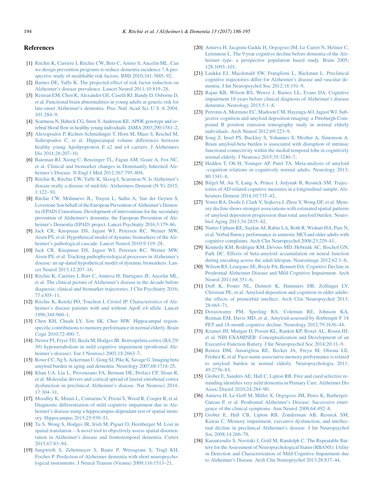#### <span id="page-8-0"></span>References

- [1] [Ritchie K, Carri](http://refhub.elsevier.com/S1552-5260(16)32902-8/sref1)e[re I, Ritchie CW, Berr C, Artero S, Ancelin ML. Can](http://refhub.elsevier.com/S1552-5260(16)32902-8/sref1) [we design prevention programs to reduce dementia incidence ? A pro](http://refhub.elsevier.com/S1552-5260(16)32902-8/sref1)[spective study of modifiable risk factors. BMJ 2010;341:3885–92.](http://refhub.elsevier.com/S1552-5260(16)32902-8/sref1)
- [2] [Barnes DE, Yaffe K. The projected effect of risk factor reduction on](http://refhub.elsevier.com/S1552-5260(16)32902-8/sref2) [Alzheimer's disease prevalence. Lancet Neurol 2011;10:819–28.](http://refhub.elsevier.com/S1552-5260(16)32902-8/sref2)
- [3] [Reiman EM, Chen K, Alexander GE, Caselli RJ, Bandy D, Osborne D,](http://refhub.elsevier.com/S1552-5260(16)32902-8/sref3) [et al. Functional brain abnormalities in young adults at genetic risk for](http://refhub.elsevier.com/S1552-5260(16)32902-8/sref3) [late-onset Alzheimer's dementia. Proc Natl Acad Sci U S A 2004;](http://refhub.elsevier.com/S1552-5260(16)32902-8/sref3)  $101:284-9$ .
- [4] [Scarmeas N, Habeck CG, Stern Y, Anderson KE. APOE genotype and ce](http://refhub.elsevier.com/S1552-5260(16)32902-8/sref4)[rebral blood flow in healthy young individuals. JAMA 2003;290:1581–2](http://refhub.elsevier.com/S1552-5260(16)32902-8/sref4).
- [5] [Alexopoulos P, Richter-Schmidinger T, Horn M, Maus S, Reichel M,](http://refhub.elsevier.com/S1552-5260(16)32902-8/sref5) [Sidiropoulos C, et al. Hippocampal volume differences between](http://refhub.elsevier.com/S1552-5260(16)32902-8/sref5) [healthy young Apolipoprotein E e2 and e4 carriers. J Alzheimers](http://refhub.elsevier.com/S1552-5260(16)32902-8/sref5) [Dis 2011;26:207–10.](http://refhub.elsevier.com/S1552-5260(16)32902-8/sref5)
- [6] [Bateman RJ, Xiong C, Benzinger TL, Fagan AM, Goate A, Fox NC,](http://refhub.elsevier.com/S1552-5260(16)32902-8/sref6) [et al. Clinical and biomarker changes in Dominantly Inherited Alz](http://refhub.elsevier.com/S1552-5260(16)32902-8/sref6)[heimer's Disease. N Engl J Med 2012;367:795–804](http://refhub.elsevier.com/S1552-5260(16)32902-8/sref6).
- [7] [Ritchie K, Ritchie CW, Yaffe K, Skoog I, Scarmeas N. Is Alzheimer's](http://refhub.elsevier.com/S1552-5260(16)32902-8/sref7) [disease really a disease of mid-life. Alzheimers Dement \(N Y\) 2015;](http://refhub.elsevier.com/S1552-5260(16)32902-8/sref7) [1:122–30](http://refhub.elsevier.com/S1552-5260(16)32902-8/sref7).
- [8] [Ritchie CW, Molinuevo JL, Truyen L, Satlin A, Van der Geyten S,](http://refhub.elsevier.com/S1552-5260(16)32902-8/sref8) [Lovestone Son behalf of the European Prevention of Alzheimer's Demen](http://refhub.elsevier.com/S1552-5260(16)32902-8/sref8)[tia \(EPAD\) Consortium. Development of interventions for the secondary](http://refhub.elsevier.com/S1552-5260(16)32902-8/sref8) [prevention of Alzheimer's dementia: the European Prevention of Alz](http://refhub.elsevier.com/S1552-5260(16)32902-8/sref8)[heimer's Dementia \(EPAD\) project. Lancet Psychiatry 2016;3:179–86](http://refhub.elsevier.com/S1552-5260(16)32902-8/sref8).
- [9] [Jack CR, Knopman DS, Jagust WJ, Petersen RC, Weiner MW,](http://refhub.elsevier.com/S1552-5260(16)32902-8/sref9) [Aisen PS, et al. Hypothetical model of dynamic biomarkers of the Alz](http://refhub.elsevier.com/S1552-5260(16)32902-8/sref9)[heimer's pathological cascade. Lancet Neurol 2010;9:119–28](http://refhub.elsevier.com/S1552-5260(16)32902-8/sref9).
- [10] [Jack CR, Knopman DS, Jagust WJ, Petersen RC, Weiner MW,](http://refhub.elsevier.com/S1552-5260(16)32902-8/sref10) [Aisen PS, et al. Tracking pathophysiological processes in Alzheimer's](http://refhub.elsevier.com/S1552-5260(16)32902-8/sref10) [disease: an up-dated hypothetical model of dynamic biomarkers. Lan](http://refhub.elsevier.com/S1552-5260(16)32902-8/sref10)[cet Neurol 2013;12:207–16](http://refhub.elsevier.com/S1552-5260(16)32902-8/sref10).
- [11] [Ritchie K, Carri](http://refhub.elsevier.com/S1552-5260(16)32902-8/sref11)è[re I, Berr C, Amieva H, Dartigues JF, Ancelin ML,](http://refhub.elsevier.com/S1552-5260(16)32902-8/sref11) [et al. The clinical picture of Alzheimer's disease in the decade before](http://refhub.elsevier.com/S1552-5260(16)32902-8/sref11) [diagnosis: clinical and biomarker trajectories. J Clin Psychiatry 2016;](http://refhub.elsevier.com/S1552-5260(16)32902-8/sref11) [77:e305–11.](http://refhub.elsevier.com/S1552-5260(16)32902-8/sref11)
- [12] [Ritchie K, Kotzki PO, Touchon J, Cristol JP. Characterisitics of Alz](http://refhub.elsevier.com/S1552-5260(16)32902-8/sref12)[heimer's disease patients with and without ApoE e4 allele. Lancet](http://refhub.elsevier.com/S1552-5260(16)32902-8/sref12) [1996;348:960–1](http://refhub.elsevier.com/S1552-5260(16)32902-8/sref12).
- [13] [Chen KH, Chuah LY, Sim SK, Chee MW. Hippocampal region](http://refhub.elsevier.com/S1552-5260(16)32902-8/sref13)[specific contributions to memory performance in normal elderly. Brain](http://refhub.elsevier.com/S1552-5260(16)32902-8/sref13) [Cogn 2010;72:400–7.](http://refhub.elsevier.com/S1552-5260(16)32902-8/sref13)
- [14] [Nestor PJ, Fryer TD, Ikeda M, Hodges JR. Retrospelnia cortex \(BA 29/](http://refhub.elsevier.com/S1552-5260(16)32902-8/sref14) [30\) hypometabolism in mild cognitive impairment \(prodromal Alz](http://refhub.elsevier.com/S1552-5260(16)32902-8/sref14)heimer's disease). Eur J Neurosci 2003;18:2663-7.
- [15] [Rowe CC, Ng S, Ackerman U, Gong SJ, Pike K, Savage G. Imaging beta](http://refhub.elsevier.com/S1552-5260(16)32902-8/sref15) [amyloid burden in aging and dementia. Neurology 2007;68:1718–25](http://refhub.elsevier.com/S1552-5260(16)32902-8/sref15).
- [16] [Khan UA, Liu L, Provenzano FA, Berman DE, Profaci CP, Sloan R,](http://refhub.elsevier.com/S1552-5260(16)32902-8/sref16) [et al. Molecular drivers and cortical spread of lateral entorhinal cortex](http://refhub.elsevier.com/S1552-5260(16)32902-8/sref16) [dysfunction in preclinical Alzheimer's disease. Nat Neurosci 2014;](http://refhub.elsevier.com/S1552-5260(16)32902-8/sref16) [17:304–11](http://refhub.elsevier.com/S1552-5260(16)32902-8/sref16).
- [17] [Moodley K, Minati L, Contarino V, Prioni S, Wood R, Cooper R, et al.](http://refhub.elsevier.com/S1552-5260(16)32902-8/sref17) [Diagnostic differentiation of mild cognitive impairment due to Alz](http://refhub.elsevier.com/S1552-5260(16)32902-8/sref17)[heimer's disease using a hippocampus-dependant test of spatial mem](http://refhub.elsevier.com/S1552-5260(16)32902-8/sref17)[ory. Hippocampus 2015;25:939–51](http://refhub.elsevier.com/S1552-5260(16)32902-8/sref17).
- [18] [Tu S, Wong S, Hodges JR, Irish M, Piguet O, Hornberger M. Lost in](http://refhub.elsevier.com/S1552-5260(16)32902-8/sref18) [spatial translation – A novel tool to objectively assess spatial disorien](http://refhub.elsevier.com/S1552-5260(16)32902-8/sref18)[tation in Alzheimer's disease and frontotemporal dementia. Cortex](http://refhub.elsevier.com/S1552-5260(16)32902-8/sref18) [2015;67:83–94](http://refhub.elsevier.com/S1552-5260(16)32902-8/sref18).
- [19] [Jungwirth S, Zehetmayer S, Bauer P, Weissgram S, Tragl KH,](http://refhub.elsevier.com/S1552-5260(16)32902-8/sref19) [Fischer P. Prediction of Alzheimer dementia with short neuropsycho](http://refhub.elsevier.com/S1552-5260(16)32902-8/sref19)[logical instruments. J Neural Transm \(Vienna\) 2009;116:1513–21](http://refhub.elsevier.com/S1552-5260(16)32902-8/sref19).
- [20] [Amieva H, Jacqmin-Gadda H, Orgogozo JM, Le Carret N, Helmer C,](http://refhub.elsevier.com/S1552-5260(16)32902-8/sref20) [Letenneur L. The 9 year cognitive decline before dementia of the Alz](http://refhub.elsevier.com/S1552-5260(16)32902-8/sref20)[heimer type: a prospective population based study. Brain 2005;](http://refhub.elsevier.com/S1552-5260(16)32902-8/sref20) [128:1093–101](http://refhub.elsevier.com/S1552-5260(16)32902-8/sref20).
- [21] [Laukka EJ, Macdonald SW, Fratiglioni L, B](http://refhub.elsevier.com/S1552-5260(16)32902-8/sref21)ä[ckman L. Preclinical](http://refhub.elsevier.com/S1552-5260(16)32902-8/sref21) [cognitive trajectories differ for Alzheimer's disease and vascular de](http://refhub.elsevier.com/S1552-5260(16)32902-8/sref21)[mentia. J Int Neuropsychol Soc 2012;18:191–9.](http://refhub.elsevier.com/S1552-5260(16)32902-8/sref21)
- [22] [Rajan KB, Wilson RS, Weuve J, Barnes LL, Evans DA. Cognitive](http://refhub.elsevier.com/S1552-5260(16)32902-8/sref22) [impairment 18 years before clinical diagnosis of Alzheimer's disease](http://refhub.elsevier.com/S1552-5260(16)32902-8/sref22) [dementia. Neurology 2015;5:1–8](http://refhub.elsevier.com/S1552-5260(16)32902-8/sref22).
- [23] [Perrotin A, Mormino EC, Madison CM, Hayenga AO, Jagust WJ. Sub](http://refhub.elsevier.com/S1552-5260(16)32902-8/sref23)[jective cognition and amyloid deposition imaging: a Pittsburgh Com](http://refhub.elsevier.com/S1552-5260(16)32902-8/sref23)[pound B positron emission tomography study in normal elderly](http://refhub.elsevier.com/S1552-5260(16)32902-8/sref23) [individuals. Arch Neurol 2012;69:223–9](http://refhub.elsevier.com/S1552-5260(16)32902-8/sref23).
- [24] [Song Z, Insel PS, Buckley S, Yohannes S, Mezher A, Simonson A.](http://refhub.elsevier.com/S1552-5260(16)32902-8/sref24) [Brain amyloid-beta burden is associated with disruption of intrinsic](http://refhub.elsevier.com/S1552-5260(16)32902-8/sref24) [functional connectivity within the medial temporal lobe in cognitively](http://refhub.elsevier.com/S1552-5260(16)32902-8/sref24) [normal elderly. J Neurosci 2015;35:3240–7](http://refhub.elsevier.com/S1552-5260(16)32902-8/sref24).
- [25] [Hedden T, Oh H, Younger AP, Patel TA. Meta-analysis of amyloid](http://refhub.elsevier.com/S1552-5260(16)32902-8/sref25) [–cognition relations in cognitively normal adults. Neurology 2013;](http://refhub.elsevier.com/S1552-5260(16)32902-8/sref25) [80:1341–8](http://refhub.elsevier.com/S1552-5260(16)32902-8/sref25).
- [26] [Bilgel M, An Y, Lang A, Prince J, Jedynak B, Resnick SM. Trajec](http://refhub.elsevier.com/S1552-5260(16)32902-8/sref26)[tories of AD-related cognitive measures in a longitudinal sample. Alz](http://refhub.elsevier.com/S1552-5260(16)32902-8/sref26)[heimers Dement 2014;10:735–42](http://refhub.elsevier.com/S1552-5260(16)32902-8/sref26).
- [27] [Yotter RA, Doshi J, Clark V, Sojkova J, Zhou Y, Wong DF, et al. Mem](http://refhub.elsevier.com/S1552-5260(16)32902-8/sref27)[ory decline shows stronger associations with estimated spatial patterns](http://refhub.elsevier.com/S1552-5260(16)32902-8/sref27) [of amyloid deposition progression than total amyloid burden. Neuro](http://refhub.elsevier.com/S1552-5260(16)32902-8/sref27)[biol Aging 2013;34:2835–42](http://refhub.elsevier.com/S1552-5260(16)32902-8/sref27).
- [28] [Nutter-Upham KE, Saykin AJ, Rabin LA, Roth R, Wishart HA, Pare N,](http://refhub.elsevier.com/S1552-5260(16)32902-8/sref28) [et al. Verbal fluency performance in amnestic MCI and older adults with](http://refhub.elsevier.com/S1552-5260(16)32902-8/sref28) [cognitive complaints. Arch Clin Neuropsychol 2008;23:229–41](http://refhub.elsevier.com/S1552-5260(16)32902-8/sref28).
- [29] [Kennedy KM, Rodrigue KM, Devous MD, Hebrank AC, Bischof GN,](http://refhub.elsevier.com/S1552-5260(16)32902-8/sref29) [Park DC. Effects of beta-amyloid accumulation on neural function](http://refhub.elsevier.com/S1552-5260(16)32902-8/sref29) [during encoding across the adult lifespan. Neuroimage 2012;62:1–8](http://refhub.elsevier.com/S1552-5260(16)32902-8/sref29).
- [30] [Wilson RS, Leurgans SE, Boyle PA, Bennett DA. Cognitive Decline in](http://refhub.elsevier.com/S1552-5260(16)32902-8/sref30) [Prodromal Alzheimer Disease and Mild Cognitive Impairment. Arch](http://refhub.elsevier.com/S1552-5260(16)32902-8/sref30) [Neurol 2011;68:351–6.](http://refhub.elsevier.com/S1552-5260(16)32902-8/sref30)
- [31] [Duff K, Foster NL, Dennett K, Hammers DB, Zollinger LV,](http://refhub.elsevier.com/S1552-5260(16)32902-8/sref31) [Christian PE, et al. Amyloid deposition and cognition in older adults:](http://refhub.elsevier.com/S1552-5260(16)32902-8/sref31) [the effects of premorbid intellect. Arch Clin Neuropsychol 2013;](http://refhub.elsevier.com/S1552-5260(16)32902-8/sref31) [28:665–71](http://refhub.elsevier.com/S1552-5260(16)32902-8/sref31).
- [32] [Doraiswamy PM, Sperling RA, Coleman RE, Johnson KA,](http://refhub.elsevier.com/S1552-5260(16)32902-8/sref32) [Reiman EM, Davis MD, et al. Amyloid-assessed by florbetapir F 18](http://refhub.elsevier.com/S1552-5260(16)32902-8/sref32) [PET and 18-month cognitive decline. Neurology 2012;79:1636–44](http://refhub.elsevier.com/S1552-5260(16)32902-8/sref32).
- [33] [Kramer JH, Mungas D, Possin KL, Rankin KP, Boxer AL, Rosen HJ,](http://refhub.elsevier.com/S1552-5260(16)32902-8/sref33) [et al. NIH EXAMINER: Conceptualization and Development of an](http://refhub.elsevier.com/S1552-5260(16)32902-8/sref33) [Executive Function Battery. J Int Neuropsychol Soc 2014;20:11–9](http://refhub.elsevier.com/S1552-5260(16)32902-8/sref33).
- [34] [Rentza DM, Amariglioa RE, Becker JA, Freya M, Olsona LE,](http://refhub.elsevier.com/S1552-5260(16)32902-8/sref34) [Frishea K, et al. Face-name associative memory performance is related](http://refhub.elsevier.com/S1552-5260(16)32902-8/sref34) [to amyloid burden in normal elderly. Neuropsychologia 2011;](http://refhub.elsevier.com/S1552-5260(16)32902-8/sref34)  $49.2776 - 83$
- [35] [Grober E, Sanders AE, Hall C, Lipton RB. Free and cued selective re](http://refhub.elsevier.com/S1552-5260(16)32902-8/sref35)[minding identifies very mild dementia in Primary Care. Alzheimer Dis](http://refhub.elsevier.com/S1552-5260(16)32902-8/sref35) [Assoc Disord 2010;24:284–90.](http://refhub.elsevier.com/S1552-5260(16)32902-8/sref35)
- [36] [Amieva H, Le Goff M, Millet X, Orgogozo JM, Peres K, Barberger-](http://refhub.elsevier.com/S1552-5260(16)32902-8/sref36)[Gateau P, et al. Prodromal Alzheimer's Disease: Successive emer](http://refhub.elsevier.com/S1552-5260(16)32902-8/sref36)[gence of the clinical symptoms. Ann Neurol 2008;64:492–8](http://refhub.elsevier.com/S1552-5260(16)32902-8/sref36).
- [37] [Grober E, Hall CB, Lipton RB, Zonderman AB, Resnick SM,](http://refhub.elsevier.com/S1552-5260(16)32902-8/sref37) [Kawas C. Memory impairment, executive dysfunction, and intellec](http://refhub.elsevier.com/S1552-5260(16)32902-8/sref37)[tual decline in preclinical Alzheimer's disease. J Int Neuropsychol](http://refhub.elsevier.com/S1552-5260(16)32902-8/sref37) Soc 2008;14:266-78.
- [38] [Karantzoulis S, Novitski J, Gold M, Randolph C. The Repeatable Bat](http://refhub.elsevier.com/S1552-5260(16)32902-8/sref38)[tery for the Assessment of Neuropsychological Status \(RBANS\): Utility](http://refhub.elsevier.com/S1552-5260(16)32902-8/sref38) [in Detection and Characterization of Mild Cognitive Impairment due](http://refhub.elsevier.com/S1552-5260(16)32902-8/sref38) [to Alzheimer's Disease. Arch Clin Neuropsychol 2013;28:837–44.](http://refhub.elsevier.com/S1552-5260(16)32902-8/sref38)